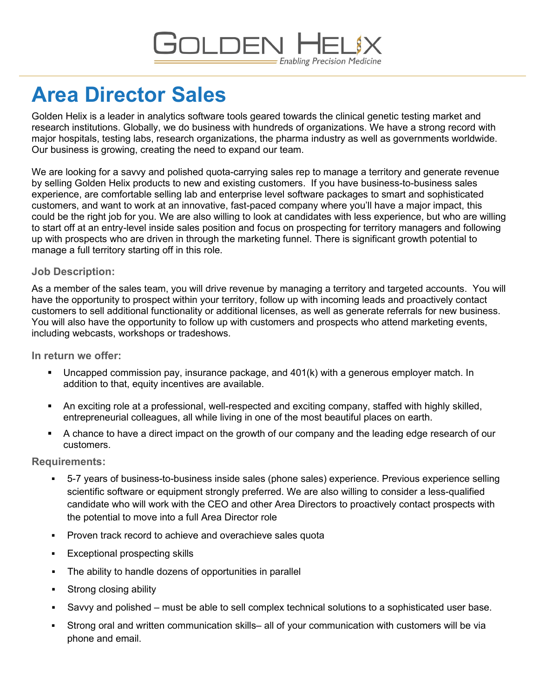# **GOLDEN** - Enabling Precision Medicine

# **Area Director Sales**

Golden Helix is a leader in analytics software tools geared towards the clinical genetic testing market and research institutions. Globally, we do business with hundreds of organizations. We have a strong record with major hospitals, testing labs, research organizations, the pharma industry as well as governments worldwide. Our business is growing, creating the need to expand our team.

We are looking for a savvy and polished quota-carrying sales rep to manage a territory and generate revenue by selling Golden Helix products to new and existing customers. If you have business-to-business sales experience, are comfortable selling lab and enterprise level software packages to smart and sophisticated customers, and want to work at an innovative, fast-paced company where you'll have a major impact, this could be the right job for you. We are also willing to look at candidates with less experience, but who are willing to start off at an entry-level inside sales position and focus on prospecting for territory managers and following up with prospects who are driven in through the marketing funnel. There is significant growth potential to manage a full territory starting off in this role.

## **Job Description:**

As a member of the sales team, you will drive revenue by managing a territory and targeted accounts. You will have the opportunity to prospect within your territory, follow up with incoming leads and proactively contact customers to sell additional functionality or additional licenses, as well as generate referrals for new business. You will also have the opportunity to follow up with customers and prospects who attend marketing events, including webcasts, workshops or tradeshows.

### **In return we offer:**

- Uncapped commission pay, insurance package, and 401(k) with a generous employer match. In addition to that, equity incentives are available.
- An exciting role at a professional, well-respected and exciting company, staffed with highly skilled, entrepreneurial colleagues, all while living in one of the most beautiful places on earth.
- A chance to have a direct impact on the growth of our company and the leading edge research of our customers.

### **Requirements:**

- 5-7 years of business-to-business inside sales (phone sales) experience. Previous experience selling scientific software or equipment strongly preferred. We are also willing to consider a less-qualified candidate who will work with the CEO and other Area Directors to proactively contact prospects with the potential to move into a full Area Director role
- **Proven track record to achieve and overachieve sales quota**
- Exceptional prospecting skills
- The ability to handle dozens of opportunities in parallel
- Strong closing ability
- Savvy and polished must be able to sell complex technical solutions to a sophisticated user base.
- Strong oral and written communication skills– all of your communication with customers will be via phone and email.